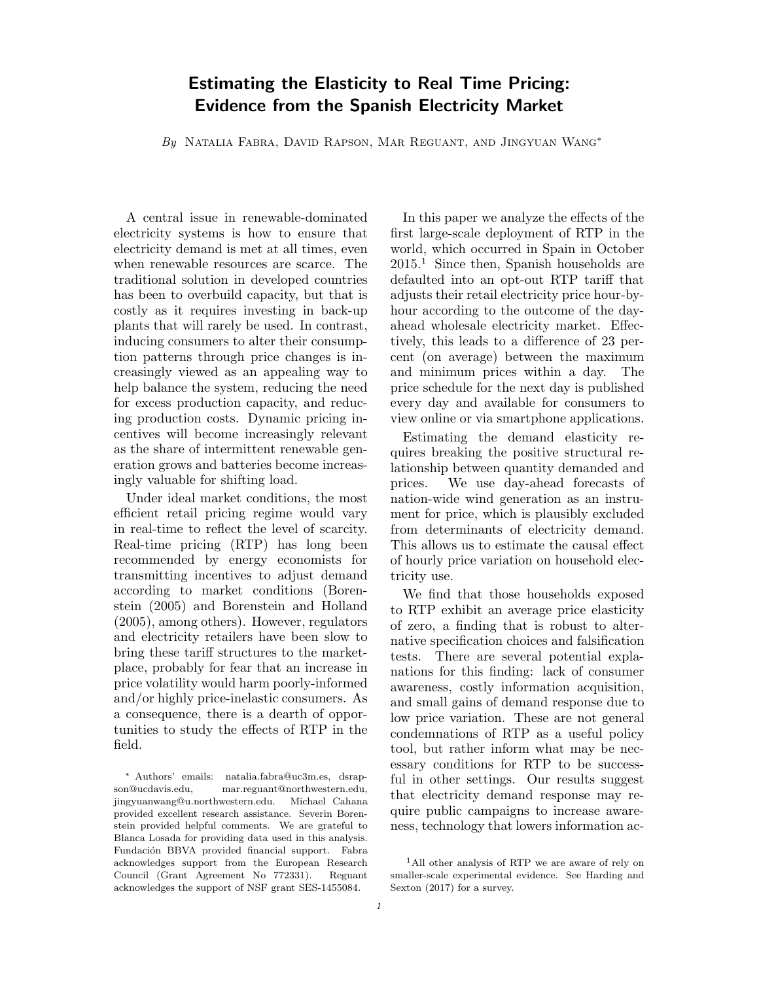# Estimating the Elasticity to Real Time Pricing: Evidence from the Spanish Electricity Market

By Natalia Fabra, David Rapson, Mar Reguant, and Jingyuan Wang<sup>∗</sup>

A central issue in renewable-dominated electricity systems is how to ensure that electricity demand is met at all times, even when renewable resources are scarce. The traditional solution in developed countries has been to overbuild capacity, but that is costly as it requires investing in back-up plants that will rarely be used. In contrast, inducing consumers to alter their consumption patterns through price changes is increasingly viewed as an appealing way to help balance the system, reducing the need for excess production capacity, and reducing production costs. Dynamic pricing incentives will become increasingly relevant as the share of intermittent renewable generation grows and batteries become increasingly valuable for shifting load.

Under ideal market conditions, the most efficient retail pricing regime would vary in real-time to reflect the level of scarcity. Real-time pricing (RTP) has long been recommended by energy economists for transmitting incentives to adjust demand according to market conditions (Borenstein (2005) and Borenstein and Holland (2005), among others). However, regulators and electricity retailers have been slow to bring these tariff structures to the marketplace, probably for fear that an increase in price volatility would harm poorly-informed and/or highly price-inelastic consumers. As a consequence, there is a dearth of opportunities to study the effects of RTP in the field.

In this paper we analyze the effects of the first large-scale deployment of RTP in the world, which occurred in Spain in October 2015.<sup>1</sup> Since then, Spanish households are defaulted into an opt-out RTP tariff that adjusts their retail electricity price hour-byhour according to the outcome of the dayahead wholesale electricity market. Effectively, this leads to a difference of 23 percent (on average) between the maximum and minimum prices within a day. The price schedule for the next day is published every day and available for consumers to view online or via smartphone applications.

Estimating the demand elasticity requires breaking the positive structural relationship between quantity demanded and prices. We use day-ahead forecasts of nation-wide wind generation as an instrument for price, which is plausibly excluded from determinants of electricity demand. This allows us to estimate the causal effect of hourly price variation on household electricity use.

We find that those households exposed to RTP exhibit an average price elasticity of zero, a finding that is robust to alternative specification choices and falsification tests. There are several potential explanations for this finding: lack of consumer awareness, costly information acquisition, and small gains of demand response due to low price variation. These are not general condemnations of RTP as a useful policy tool, but rather inform what may be necessary conditions for RTP to be successful in other settings. Our results suggest that electricity demand response may require public campaigns to increase awareness, technology that lowers information ac-

<sup>∗</sup> Authors' emails: natalia.fabra@uc3m.es, dsrapson@ucdavis.edu, mar.reguant@northwestern.edu, jingyuanwang@u.northwestern.edu. Michael Cahana provided excellent research assistance. Severin Borenstein provided helpful comments. We are grateful to Blanca Losada for providing data used in this analysis. Fundación BBVA provided financial support. Fabra acknowledges support from the European Research Council (Grant Agreement No 772331). Reguant acknowledges the support of NSF grant SES-1455084.

<sup>1</sup>All other analysis of RTP we are aware of rely on smaller-scale experimental evidence. See Harding and Sexton (2017) for a survey.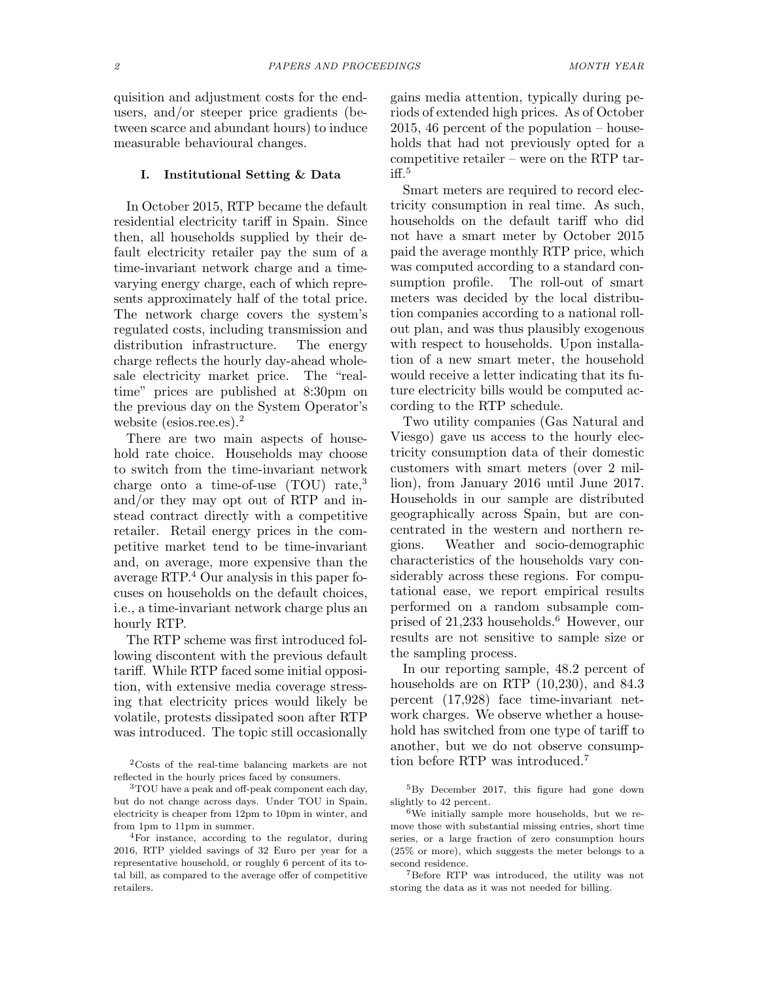quisition and adjustment costs for the endusers, and/or steeper price gradients (between scarce and abundant hours) to induce measurable behavioural changes.

## I. Institutional Setting & Data

In October 2015, RTP became the default residential electricity tariff in Spain. Since then, all households supplied by their default electricity retailer pay the sum of a time-invariant network charge and a timevarying energy charge, each of which represents approximately half of the total price. The network charge covers the system's regulated costs, including transmission and distribution infrastructure. The energy charge reflects the hourly day-ahead wholesale electricity market price. The "realtime" prices are published at 8:30pm on the previous day on the System Operator's website (esios.ree.es).<sup>2</sup>

There are two main aspects of household rate choice. Households may choose to switch from the time-invariant network charge onto a time-of-use (TOU) rate,<sup>3</sup> and/or they may opt out of RTP and instead contract directly with a competitive retailer. Retail energy prices in the competitive market tend to be time-invariant and, on average, more expensive than the average RTP.<sup>4</sup> Our analysis in this paper focuses on households on the default choices, i.e., a time-invariant network charge plus an hourly RTP.

The RTP scheme was first introduced following discontent with the previous default tariff. While RTP faced some initial opposition, with extensive media coverage stressing that electricity prices would likely be volatile, protests dissipated soon after RTP was introduced. The topic still occasionally

gains media attention, typically during periods of extended high prices. As of October 2015, 46 percent of the population – households that had not previously opted for a competitive retailer – were on the RTP tar $iff<sup>5</sup>$ 

Smart meters are required to record electricity consumption in real time. As such, households on the default tariff who did not have a smart meter by October 2015 paid the average monthly RTP price, which was computed according to a standard consumption profile. The roll-out of smart meters was decided by the local distribution companies according to a national rollout plan, and was thus plausibly exogenous with respect to households. Upon installation of a new smart meter, the household would receive a letter indicating that its future electricity bills would be computed according to the RTP schedule.

Two utility companies (Gas Natural and Viesgo) gave us access to the hourly electricity consumption data of their domestic customers with smart meters (over 2 million), from January 2016 until June 2017. Households in our sample are distributed geographically across Spain, but are concentrated in the western and northern regions. Weather and socio-demographic characteristics of the households vary considerably across these regions. For computational ease, we report empirical results performed on a random subsample comprised of  $21,233$  households.<sup>6</sup> However, our results are not sensitive to sample size or the sampling process.

In our reporting sample, 48.2 percent of households are on RTP (10,230), and 84.3 percent (17,928) face time-invariant network charges. We observe whether a household has switched from one type of tariff to another, but we do not observe consumption before RTP was introduced.<sup>7</sup>

<sup>5</sup>By December 2017, this figure had gone down slightly to 42 percent.

 $6$ We initially sample more households, but we remove those with substantial missing entries, short time series, or a large fraction of zero consumption hours (25% or more), which suggests the meter belongs to a second residence.

<sup>7</sup>Before RTP was introduced, the utility was not storing the data as it was not needed for billing.

<sup>2</sup>Costs of the real-time balancing markets are not reflected in the hourly prices faced by consumers.

<sup>3</sup>TOU have a peak and off-peak component each day, but do not change across days. Under TOU in Spain, electricity is cheaper from 12pm to 10pm in winter, and from 1pm to 11pm in summer.

<sup>4</sup>For instance, according to the regulator, during 2016, RTP yielded savings of 32 Euro per year for a representative household, or roughly 6 percent of its total bill, as compared to the average offer of competitive retailers.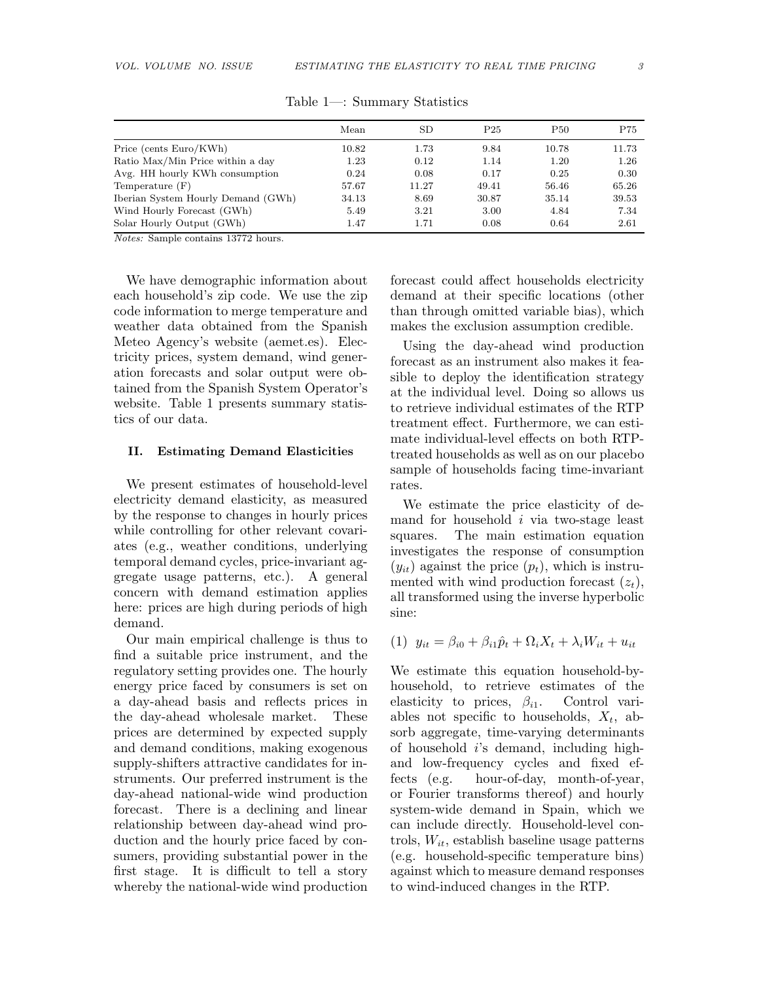|                                    | Mean      | SD    | P <sub>25</sub> | P <sub>50</sub> | P75   |
|------------------------------------|-----------|-------|-----------------|-----------------|-------|
| Price (cents Euro/KWh)             | $10.82\,$ | 1.73  | 9.84            | 10.78           | 11.73 |
| Ratio Max/Min Price within a day   | 1.23      | 0.12  | 1.14            | 1.20            | 1.26  |
| Avg. HH hourly KWh consumption     | 0.24      | 0.08  | 0.17            | 0.25            | 0.30  |
| Temperature (F)                    | 57.67     | 11.27 | 49.41           | 56.46           | 65.26 |
| Iberian System Hourly Demand (GWh) | 34.13     | 8.69  | 30.87           | 35.14           | 39.53 |
| Wind Hourly Forecast (GWh)         | 5.49      | 3.21  | 3.00            | 4.84            | 7.34  |
| Solar Hourly Output (GWh)          | 1.47      | 1.71  | 0.08            | 0.64            | 2.61  |

Table 1—: Summary Statistics

Notes: Sample contains 13772 hours.

We have demographic information about each household's zip code. We use the zip code information to merge temperature and weather data obtained from the Spanish Meteo Agency's website (aemet.es). Electricity prices, system demand, wind generation forecasts and solar output were obtained from the Spanish System Operator's website. Table 1 presents summary statistics of our data.

## II. Estimating Demand Elasticities

We present estimates of household-level electricity demand elasticity, as measured by the response to changes in hourly prices while controlling for other relevant covariates (e.g., weather conditions, underlying temporal demand cycles, price-invariant aggregate usage patterns, etc.). A general concern with demand estimation applies here: prices are high during periods of high demand.

Our main empirical challenge is thus to find a suitable price instrument, and the regulatory setting provides one. The hourly energy price faced by consumers is set on a day-ahead basis and reflects prices in the day-ahead wholesale market. These prices are determined by expected supply and demand conditions, making exogenous supply-shifters attractive candidates for instruments. Our preferred instrument is the day-ahead national-wide wind production forecast. There is a declining and linear relationship between day-ahead wind production and the hourly price faced by consumers, providing substantial power in the first stage. It is difficult to tell a story whereby the national-wide wind production

forecast could affect households electricity demand at their specific locations (other than through omitted variable bias), which makes the exclusion assumption credible.

Using the day-ahead wind production forecast as an instrument also makes it feasible to deploy the identification strategy at the individual level. Doing so allows us to retrieve individual estimates of the RTP treatment effect. Furthermore, we can estimate individual-level effects on both RTPtreated households as well as on our placebo sample of households facing time-invariant rates.

We estimate the price elasticity of demand for household i via two-stage least squares. The main estimation equation investigates the response of consumption  $(y_{it})$  against the price  $(p_t)$ , which is instrumented with wind production forecast  $(z_t)$ , all transformed using the inverse hyperbolic sine:

(1)  $y_{it} = \beta_{i0} + \beta_{i1}\hat{p}_t + \Omega_i X_t + \lambda_i W_{it} + u_{it}$ 

We estimate this equation household-byhousehold, to retrieve estimates of the elasticity to prices,  $\beta_{i1}$ . Control variables not specific to households,  $X_t$ , absorb aggregate, time-varying determinants of household  $i$ 's demand, including highand low-frequency cycles and fixed effects (e.g. hour-of-day, month-of-year, or Fourier transforms thereof) and hourly system-wide demand in Spain, which we can include directly. Household-level controls,  $W_{it}$ , establish baseline usage patterns (e.g. household-specific temperature bins) against which to measure demand responses to wind-induced changes in the RTP.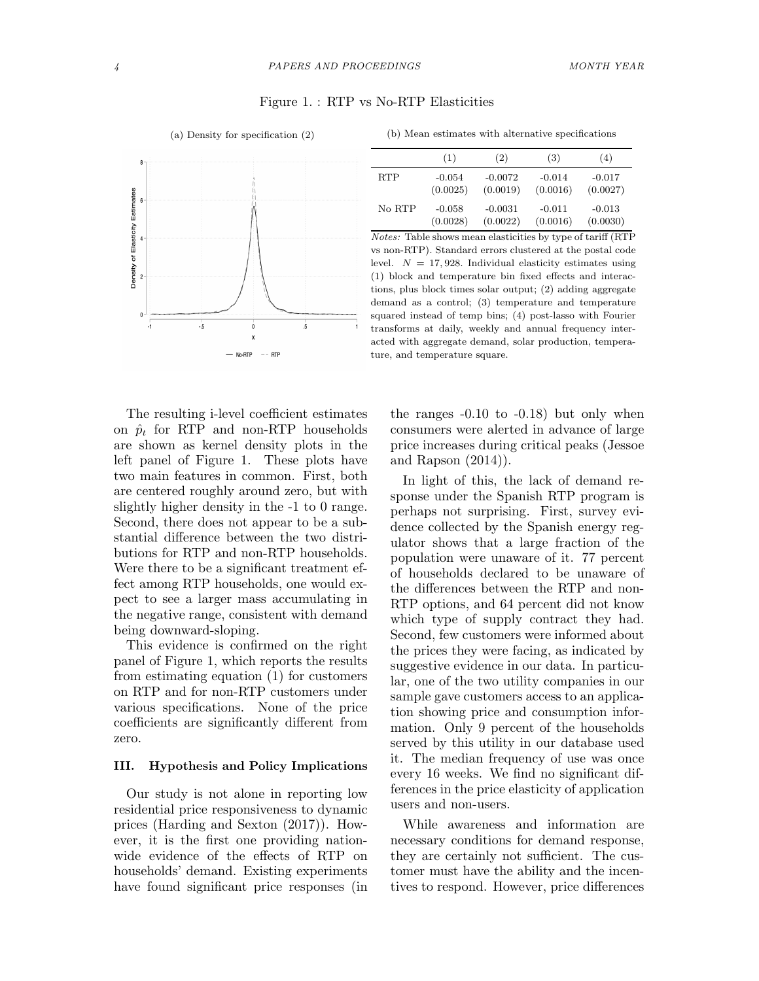## Figure 1. : RTP vs No-RTP Elasticities





|  |  |  | (b) Mean estimates with alternative specifications |  |  |  |  |  |  |
|--|--|--|----------------------------------------------------|--|--|--|--|--|--|
|--|--|--|----------------------------------------------------|--|--|--|--|--|--|

|            | (1)      | (2)       | (3)      | (4)      |
|------------|----------|-----------|----------|----------|
| <b>RTP</b> | $-0.054$ | $-0.0072$ | $-0.014$ | $-0.017$ |
|            | (0.0025) | (0.0019)  | (0.0016) | (0.0027) |
| No RTP     | $-0.058$ | $-0.0031$ | $-0.011$ | $-0.013$ |
|            | (0.0028) | (0.0022)  | (0.0016) | (0.0030) |

Notes: Table shows mean elasticities by type of tariff (RTP vs non-RTP). Standard errors clustered at the postal code level.  $N = 17,928$ . Individual elasticity estimates using (1) block and temperature bin fixed effects and interactions, plus block times solar output; (2) adding aggregate demand as a control; (3) temperature and temperature squared instead of temp bins; (4) post-lasso with Fourier transforms at daily, weekly and annual frequency interacted with aggregate demand, solar production, temperature, and temperature square.

The resulting i-level coefficient estimates on  $\hat{p}_t$  for RTP and non-RTP households are shown as kernel density plots in the left panel of Figure 1. These plots have two main features in common. First, both are centered roughly around zero, but with slightly higher density in the -1 to 0 range. Second, there does not appear to be a substantial difference between the two distributions for RTP and non-RTP households. Were there to be a significant treatment effect among RTP households, one would expect to see a larger mass accumulating in the negative range, consistent with demand being downward-sloping.

This evidence is confirmed on the right panel of Figure 1, which reports the results from estimating equation (1) for customers on RTP and for non-RTP customers under various specifications. None of the price coefficients are significantly different from zero.

## III. Hypothesis and Policy Implications

Our study is not alone in reporting low residential price responsiveness to dynamic prices (Harding and Sexton (2017)). However, it is the first one providing nationwide evidence of the effects of RTP on households' demand. Existing experiments have found significant price responses (in the ranges -0.10 to -0.18) but only when consumers were alerted in advance of large price increases during critical peaks (Jessoe and Rapson (2014)).

In light of this, the lack of demand response under the Spanish RTP program is perhaps not surprising. First, survey evidence collected by the Spanish energy regulator shows that a large fraction of the population were unaware of it. 77 percent of households declared to be unaware of the differences between the RTP and non-RTP options, and 64 percent did not know which type of supply contract they had. Second, few customers were informed about the prices they were facing, as indicated by suggestive evidence in our data. In particular, one of the two utility companies in our sample gave customers access to an application showing price and consumption information. Only 9 percent of the households served by this utility in our database used it. The median frequency of use was once every 16 weeks. We find no significant differences in the price elasticity of application users and non-users.

While awareness and information are necessary conditions for demand response, they are certainly not sufficient. The customer must have the ability and the incentives to respond. However, price differences